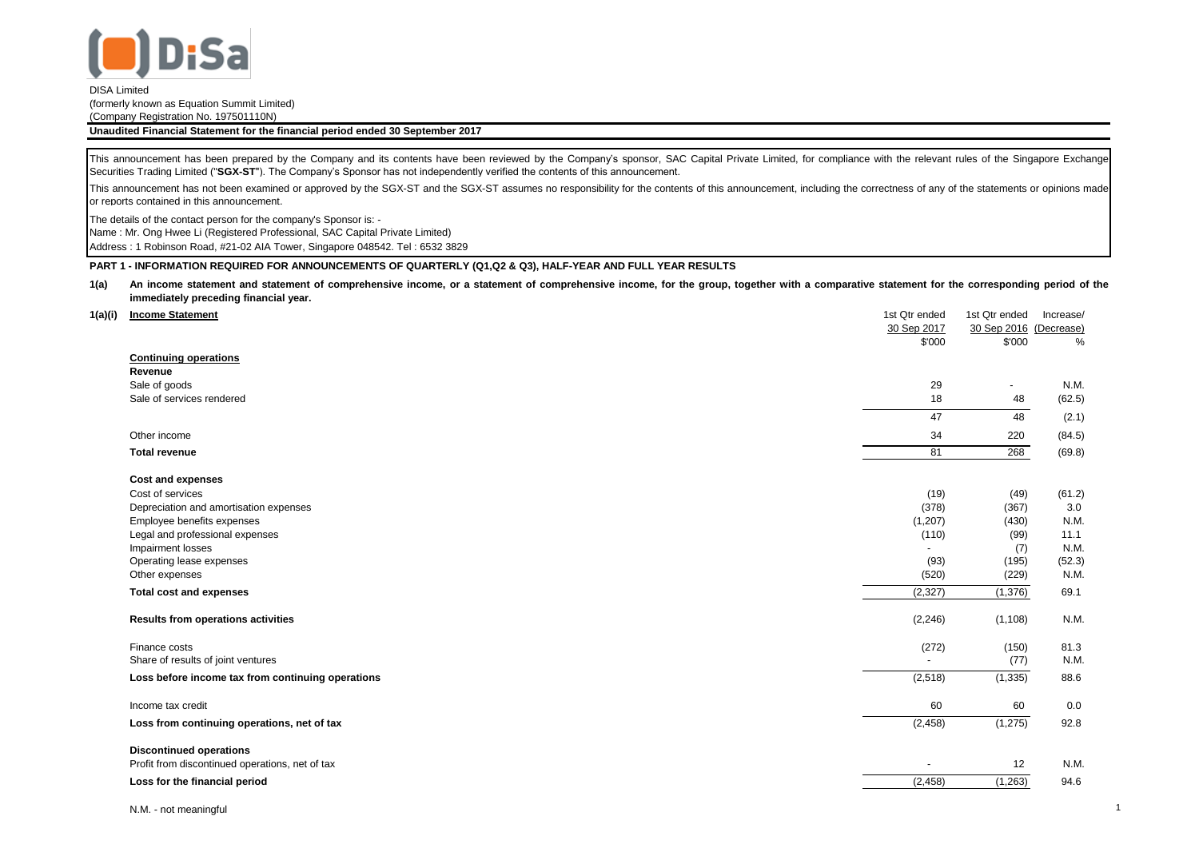

# DISA Limited

(formerly known as Equation Summit Limited) (Company Registration No. 197501110N)

**Unaudited Financial Statement for the financial period ended 30 September 2017**

This announcement has been prepared by the Company and its contents have been reviewed by the Company's sponsor, SAC Capital Private Limited, for compliance with the relevant rules of the Singapore Exchange Securities Trading Limited ("**SGX-ST**"). The Company's Sponsor has not independently verified the contents of this announcement.

This announcement has not been examined or approved by the SGX-ST and the SGX-ST assumes no responsibility for the contents of this announcement, including the correctness of any of the statements or opinions made or reports contained in this announcement.

The details of the contact person for the company's Sponsor is: -

Name : Mr. Ong Hwee Li (Registered Professional, SAC Capital Private Limited)

Address : 1 Robinson Road, #21-02 AIA Tower, Singapore 048542. Tel : 6532 3829

## **PART 1 - INFORMATION REQUIRED FOR ANNOUNCEMENTS OF QUARTERLY (Q1,Q2 & Q3), HALF-YEAR AND FULL YEAR RESULTS**

#### **1(a)** An income statement and statement of comprehensive income, or a statement of comprehensive income, for the group, together with a comparative statement for the corresponding period of the **immediately preceding financial year.**

| 1(a)(i) | <b>Income Statement</b>                           | 1st Qtr ended            | 1st Qtr ended          | Increase/ |
|---------|---------------------------------------------------|--------------------------|------------------------|-----------|
|         |                                                   | 30 Sep 2017              | 30 Sep 2016 (Decrease) |           |
|         |                                                   | \$'000                   | \$'000                 | %         |
|         | <b>Continuing operations</b>                      |                          |                        |           |
|         | Revenue                                           |                          |                        |           |
|         | Sale of goods                                     | 29                       | $\sim$                 | N.M.      |
|         | Sale of services rendered                         | 18                       | 48                     | (62.5)    |
|         |                                                   | 47                       | 48                     | (2.1)     |
|         | Other income                                      | 34                       | 220                    | (84.5)    |
|         | <b>Total revenue</b>                              | 81                       | 268                    | (69.8)    |
|         | Cost and expenses                                 |                          |                        |           |
|         | Cost of services                                  | (19)                     | (49)                   | (61.2)    |
|         | Depreciation and amortisation expenses            | (378)                    | (367)                  | 3.0       |
|         | Employee benefits expenses                        | (1,207)                  | (430)                  | N.M.      |
|         | Legal and professional expenses                   | (110)                    | (99)                   | 11.1      |
|         | Impairment losses                                 | $\blacksquare$           | (7)                    | N.M.      |
|         | Operating lease expenses                          | (93)                     | (195)                  | (52.3)    |
|         | Other expenses                                    | (520)                    | (229)                  | N.M.      |
|         | <b>Total cost and expenses</b>                    | (2, 327)                 | (1,376)                | 69.1      |
|         | Results from operations activities                | (2, 246)                 | (1, 108)               | N.M.      |
|         | Finance costs                                     | (272)                    | (150)                  | 81.3      |
|         | Share of results of joint ventures                | $\overline{\phantom{a}}$ | (77)                   | N.M.      |
|         | Loss before income tax from continuing operations | (2, 518)                 | (1, 335)               | 88.6      |
|         | Income tax credit                                 | 60                       | 60                     | 0.0       |
|         | Loss from continuing operations, net of tax       | (2, 458)                 | (1, 275)               | 92.8      |
|         | <b>Discontinued operations</b>                    |                          |                        |           |
|         | Profit from discontinued operations, net of tax   | ٠                        | 12                     | N.M.      |
|         | Loss for the financial period                     | (2, 458)                 | (1, 263)               | 94.6      |
|         |                                                   |                          |                        |           |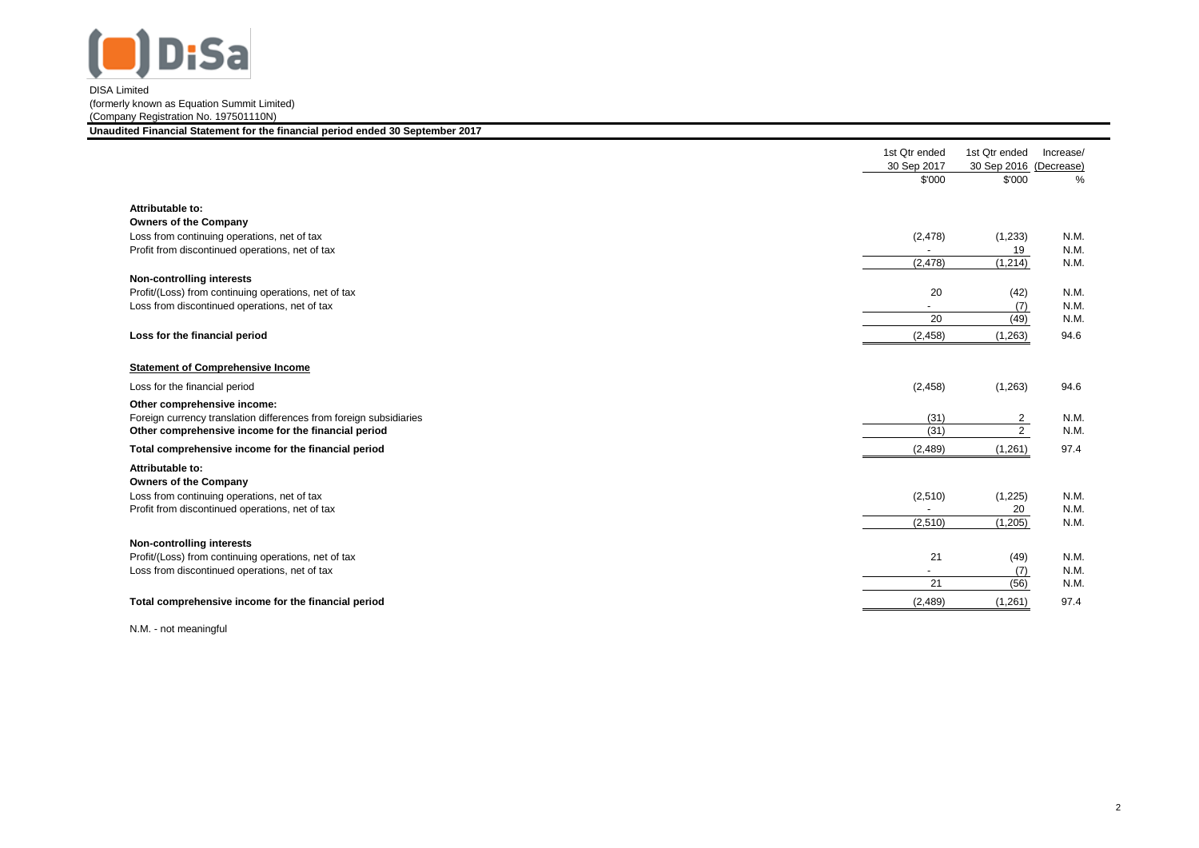

|                                                                    | 1st Qtr ended<br>30 Sep 2017 | 1st Qtr ended<br>30 Sep 2016 | Increase/<br>(Decrease) |
|--------------------------------------------------------------------|------------------------------|------------------------------|-------------------------|
|                                                                    | \$'000                       | \$'000                       | %                       |
| Attributable to:                                                   |                              |                              |                         |
| <b>Owners of the Company</b>                                       |                              |                              |                         |
| Loss from continuing operations, net of tax                        | (2, 478)                     | (1,233)                      | N.M.                    |
| Profit from discontinued operations, net of tax                    |                              | 19                           | N.M.                    |
|                                                                    | (2, 478)                     | (1, 214)                     | N.M.                    |
| <b>Non-controlling interests</b>                                   |                              |                              |                         |
| Profit/(Loss) from continuing operations, net of tax               | 20                           | (42)                         | N.M.                    |
| Loss from discontinued operations, net of tax                      | $\overline{\phantom{a}}$     | (7)                          | N.M.                    |
|                                                                    | 20                           | (49)                         | N.M.                    |
| Loss for the financial period                                      | (2, 458)                     | (1,263)                      | 94.6                    |
| <b>Statement of Comprehensive Income</b>                           |                              |                              |                         |
| Loss for the financial period                                      | (2, 458)                     | (1,263)                      | 94.6                    |
| Other comprehensive income:                                        |                              |                              |                         |
| Foreign currency translation differences from foreign subsidiaries | (31)                         | $\overline{2}$               | N.M.                    |
| Other comprehensive income for the financial period                | (31)                         | $\overline{2}$               | N.M.                    |
| Total comprehensive income for the financial period                | (2, 489)                     | (1,261)                      | 97.4                    |
| Attributable to:                                                   |                              |                              |                         |
| Owners of the Company                                              |                              |                              |                         |
| Loss from continuing operations, net of tax                        | (2,510)                      | (1,225)                      | N.M.                    |
| Profit from discontinued operations, net of tax                    |                              | 20                           | N.M.                    |
|                                                                    | (2, 510)                     | (1, 205)                     | N.M.                    |
| Non-controlling interests                                          |                              |                              |                         |
| Profit/(Loss) from continuing operations, net of tax               | 21                           | (49)                         | N.M.                    |
| Loss from discontinued operations, net of tax                      | $\blacksquare$               | (7)                          | N.M.                    |
|                                                                    | 21                           | (56)                         | N.M.                    |
| Total comprehensive income for the financial period                | (2, 489)                     | (1,261)                      | 97.4                    |

N.M. - not meaningful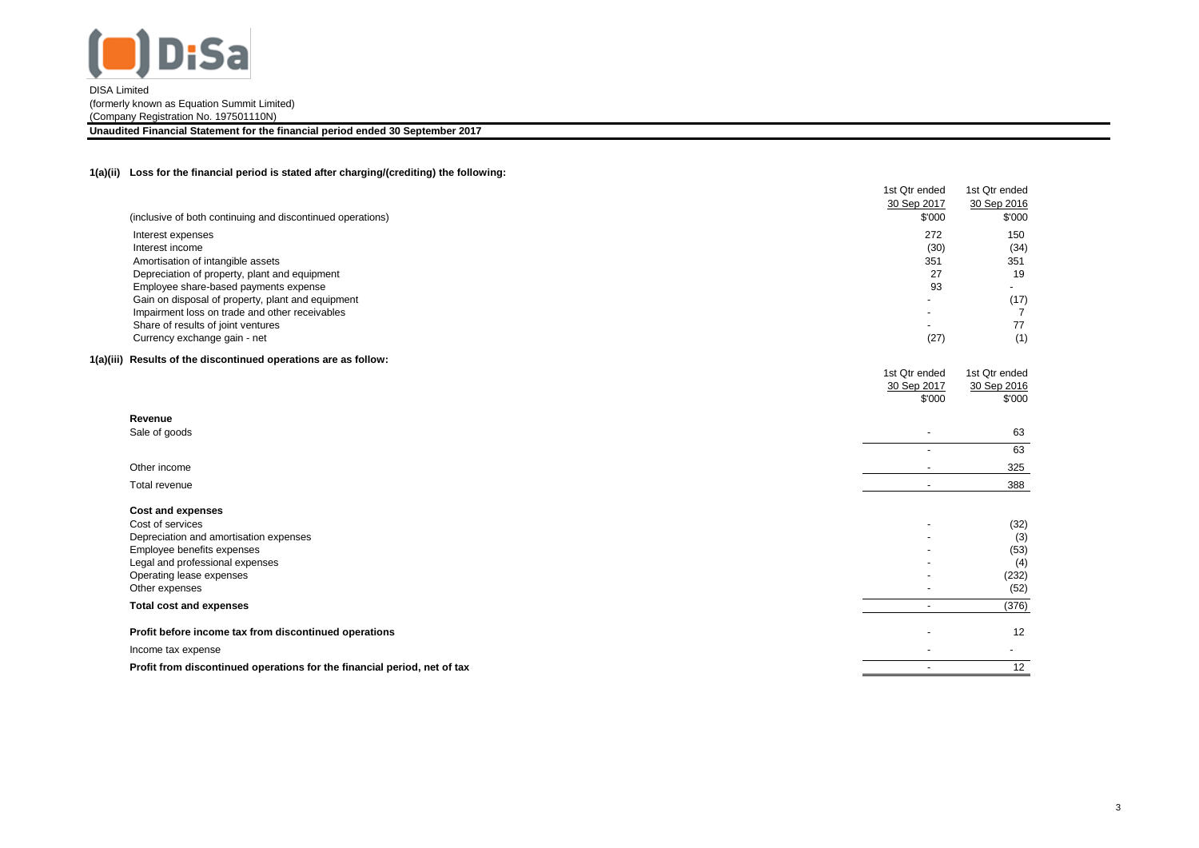

**Unaudited Financial Statement for the financial period ended 30 September 2017**

## **1(a)(ii) Loss for the financial period is stated after charging/(crediting) the following:**

|                                                                          | 1st Qtr ended            | 1st Qtr ended        |
|--------------------------------------------------------------------------|--------------------------|----------------------|
|                                                                          | 30 Sep 2017              | 30 Sep 2016          |
| (inclusive of both continuing and discontinued operations)               | \$'000                   | \$'000               |
| Interest expenses                                                        | 272                      | 150                  |
| Interest income                                                          | (30)                     | (34)                 |
| Amortisation of intangible assets                                        | 351                      | 351                  |
| Depreciation of property, plant and equipment                            | 27                       | 19                   |
| Employee share-based payments expense                                    | 93                       |                      |
| Gain on disposal of property, plant and equipment                        |                          | (17)                 |
| Impairment loss on trade and other receivables                           |                          | $\overline{7}$<br>77 |
| Share of results of joint ventures<br>Currency exchange gain - net       | (27)                     | (1)                  |
|                                                                          |                          |                      |
| 1(a)(iii) Results of the discontinued operations are as follow:          |                          |                      |
|                                                                          | 1st Qtr ended            | 1st Qtr ended        |
|                                                                          | 30 Sep 2017              | 30 Sep 2016          |
|                                                                          | \$'000                   | \$'000               |
| Revenue                                                                  |                          |                      |
| Sale of goods                                                            | $\overline{\phantom{a}}$ | 63                   |
|                                                                          | $\blacksquare$           | 63                   |
| Other income                                                             |                          | 325                  |
| Total revenue                                                            | $\overline{\phantom{a}}$ | 388                  |
| <b>Cost and expenses</b>                                                 |                          |                      |
| Cost of services                                                         |                          | (32)                 |
| Depreciation and amortisation expenses                                   |                          | (3)                  |
| Employee benefits expenses                                               |                          | (53)                 |
| Legal and professional expenses                                          |                          | (4)                  |
| Operating lease expenses                                                 |                          | (232)                |
| Other expenses                                                           |                          | (52)                 |
| <b>Total cost and expenses</b>                                           | $\overline{\phantom{a}}$ | (376)                |
| Profit before income tax from discontinued operations                    |                          | 12                   |
| Income tax expense                                                       |                          | $\blacksquare$       |
| Profit from discontinued operations for the financial period, net of tax | $\blacksquare$           | 12                   |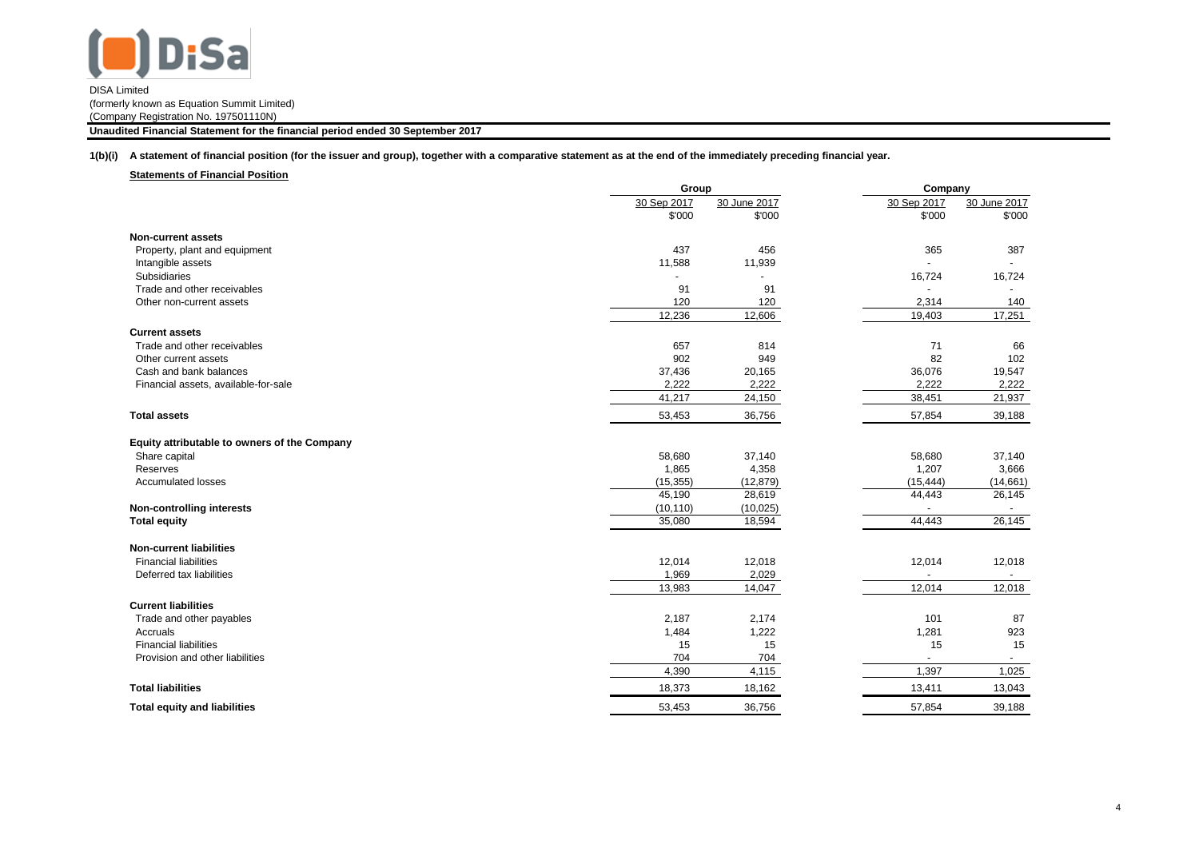

**Unaudited Financial Statement for the financial period ended 30 September 2017**

**1(b)(i) A statement of financial position (for the issuer and group), together with a comparative statement as at the end of the immediately preceding financial year.**

**Statements of Financial Position**

|                                              | Group       |              | Company     |              |
|----------------------------------------------|-------------|--------------|-------------|--------------|
|                                              | 30 Sep 2017 | 30 June 2017 | 30 Sep 2017 | 30 June 2017 |
|                                              | \$'000      | \$'000       | \$'000      | \$'000       |
| Non-current assets                           |             |              |             |              |
| Property, plant and equipment                | 437         | 456          | 365         | 387          |
| Intangible assets                            | 11,588      | 11,939       |             |              |
| <b>Subsidiaries</b>                          |             |              | 16,724      | 16,724       |
| Trade and other receivables                  | 91          | 91           |             |              |
| Other non-current assets                     | 120         | 120          | 2,314       | 140          |
|                                              | 12,236      | 12,606       | 19,403      | 17,251       |
| <b>Current assets</b>                        |             |              |             |              |
| Trade and other receivables                  | 657         | 814          | 71          | 66           |
| Other current assets                         | 902         | 949          | 82          | 102          |
| Cash and bank balances                       | 37,436      | 20,165       | 36,076      | 19,547       |
| Financial assets, available-for-sale         | 2,222       | 2,222        | 2,222       | 2,222        |
|                                              | 41,217      | 24,150       | 38,451      | 21,937       |
| <b>Total assets</b>                          | 53,453      | 36,756       | 57,854      | 39,188       |
| Equity attributable to owners of the Company |             |              |             |              |
| Share capital                                | 58,680      | 37,140       | 58,680      | 37,140       |
| Reserves                                     | 1,865       | 4,358        | 1,207       | 3,666        |
| Accumulated losses                           | (15, 355)   | (12, 879)    | (15, 444)   | (14,661)     |
|                                              | 45,190      | 28,619       | 44,443      | 26,145       |
| <b>Non-controlling interests</b>             | (10, 110)   | (10, 025)    |             |              |
| <b>Total equity</b>                          | 35,080      | 18,594       | 44,443      | 26,145       |
| <b>Non-current liabilities</b>               |             |              |             |              |
| <b>Financial liabilities</b>                 | 12,014      | 12,018       | 12,014      | 12,018       |
| Deferred tax liabilities                     | 1,969       | 2,029        |             | $\sim$       |
|                                              | 13,983      | 14,047       | 12,014      | 12,018       |
| <b>Current liabilities</b>                   |             |              |             |              |
| Trade and other payables                     | 2,187       | 2,174        | 101         | 87           |
| Accruals                                     | 1,484       | 1,222        | 1,281       | 923          |
| <b>Financial liabilities</b>                 | 15          | 15           | 15          | 15           |
| Provision and other liabilities              | 704         | 704          |             |              |
|                                              | 4,390       | 4,115        | 1,397       | 1,025        |
| <b>Total liabilities</b>                     | 18,373      | 18,162       | 13,411      | 13,043       |
| <b>Total equity and liabilities</b>          | 53,453      | 36,756       | 57,854      | 39,188       |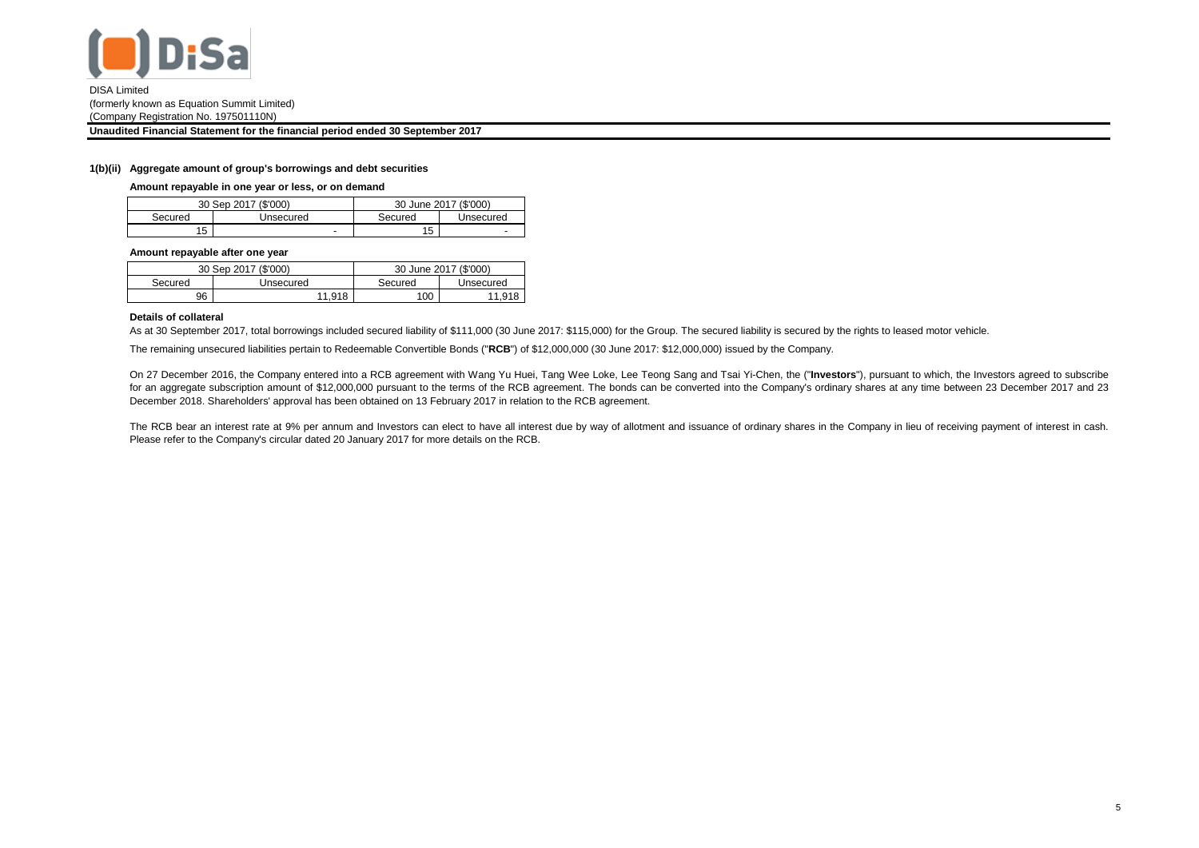

**Unaudited Financial Statement for the financial period ended 30 September 2017**

## **1(b)(ii) Aggregate amount of group's borrowings and debt securities**

**Amount repayable in one year or less, or on demand**

|         | 30 Sep 2017 (\$'000) |                     | 30 June 2017 (\$'000)    |
|---------|----------------------|---------------------|--------------------------|
| Secured | Unsecured            | Secured             | Unsecured                |
| '5      | -                    | 1 <sub>E</sub><br>J | $\overline{\phantom{a}}$ |

#### **Amount repayable after one year**

|         | 30 Sep 2017 (\$'000) |         | 30 June 2017 (\$'000) |
|---------|----------------------|---------|-----------------------|
| Secured | Unsecured            | Secured | Unsecured             |
| 96      | 11.918               | 100     | 11.91 <sup>°</sup>    |

#### **Details of collateral**

As at 30 September 2017, total borrowings included secured liability of \$111,000 (30 June 2017: \$115,000) for the Group. The secured liability is secured by the rights to leased motor vehicle.

The remaining unsecured liabilities pertain to Redeemable Convertible Bonds ("**RCB**") of \$12,000,000 (30 June 2017: \$12,000,000) issued by the Company.

On 27 December 2016, the Company entered into a RCB agreement with Wang Yu Huei, Tang Wee Loke, Lee Teong Sang and Tsai Yi-Chen, the ("**Investors**"), pursuant to which, the Investors agreed to subscribe for an aggregate subscription amount of \$12,000,000 pursuant to the terms of the RCB agreement. The bonds can be converted into the Company's ordinary shares at any time between 23 December 2017 and 23 December 2018. Shareholders' approval has been obtained on 13 February 2017 in relation to the RCB agreement.

The RCB bear an interest rate at 9% per annum and Investors can elect to have all interest due by way of allotment and issuance of ordinary shares in the Company in lieu of receiving payment of interest in cash. Please refer to the Company's circular dated 20 January 2017 for more details on the RCB.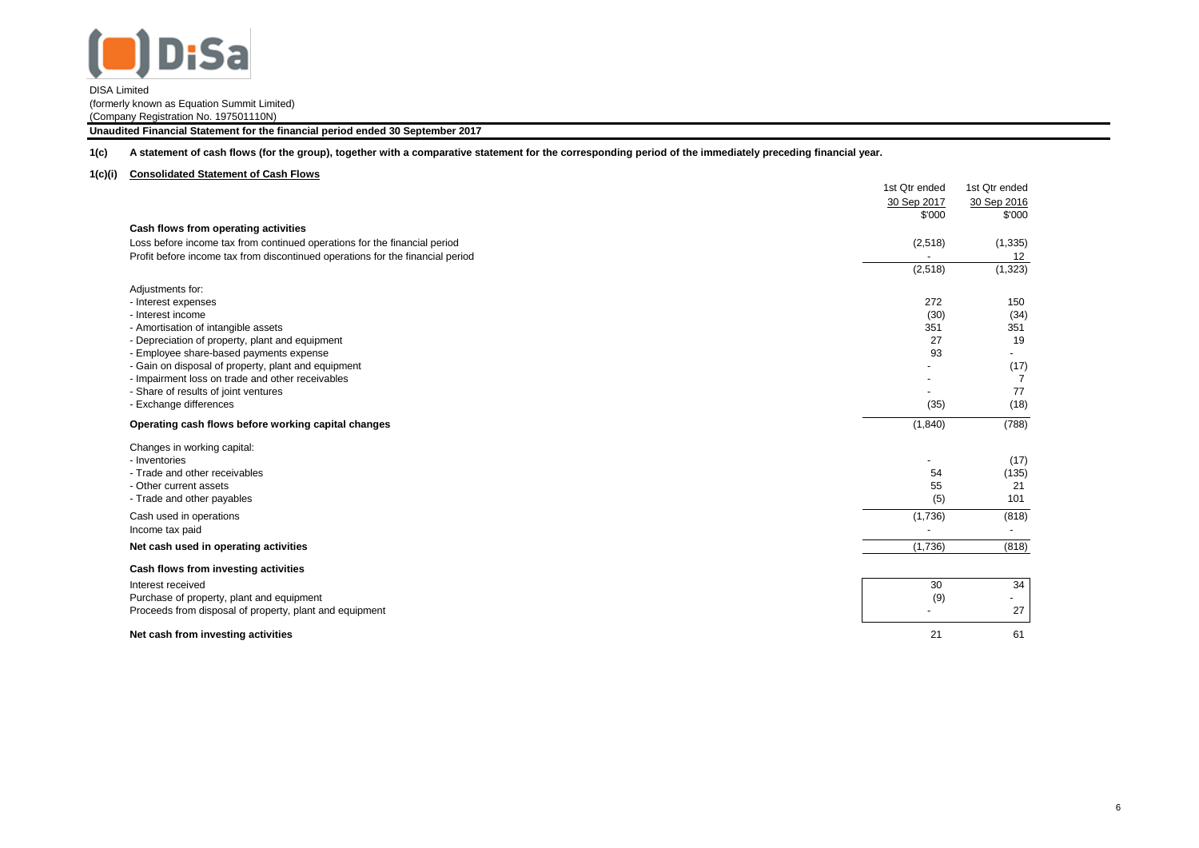

**Unaudited Financial Statement for the financial period ended 30 September 2017**

**1(c) A statement of cash flows (for the group), together with a comparative statement for the corresponding period of the immediately preceding financial year.**

## **1(c)(i) Consolidated Statement of Cash Flows**

|                                                                                | 1st Qtr ended | 1st Qtr ended            |
|--------------------------------------------------------------------------------|---------------|--------------------------|
|                                                                                | 30 Sep 2017   | 30 Sep 2016              |
|                                                                                | \$'000        | \$'000                   |
| Cash flows from operating activities                                           |               |                          |
| Loss before income tax from continued operations for the financial period      | (2,518)       | (1, 335)                 |
| Profit before income tax from discontinued operations for the financial period |               | 12                       |
|                                                                                | (2,518)       | (1, 323)                 |
| Adjustments for:                                                               |               |                          |
| - Interest expenses                                                            | 272           | 150                      |
| - Interest income                                                              | (30)          | (34)                     |
| - Amortisation of intangible assets                                            | 351           | 351                      |
| - Depreciation of property, plant and equipment                                | 27            | 19                       |
| - Employee share-based payments expense                                        | 93            |                          |
| - Gain on disposal of property, plant and equipment                            |               | (17)                     |
| - Impairment loss on trade and other receivables                               |               | $\overline{7}$           |
| - Share of results of joint ventures                                           |               | 77                       |
| - Exchange differences                                                         | (35)          | (18)                     |
| Operating cash flows before working capital changes                            | (1,840)       | (788)                    |
| Changes in working capital:                                                    |               |                          |
| - Inventories                                                                  |               | (17)                     |
| - Trade and other receivables                                                  | 54            | (135)                    |
| - Other current assets                                                         | 55            | 21                       |
| - Trade and other payables                                                     | (5)           | 101                      |
| Cash used in operations                                                        | (1,736)       | (818)                    |
| Income tax paid                                                                |               | $\overline{\phantom{a}}$ |
| Net cash used in operating activities                                          | (1,736)       | (818)                    |
| Cash flows from investing activities                                           |               |                          |
| Interest received                                                              | 30            | 34                       |
| Purchase of property, plant and equipment                                      | (9)           |                          |
| Proceeds from disposal of property, plant and equipment                        |               | 27                       |
| Net cash from investing activities                                             | 21            | 61                       |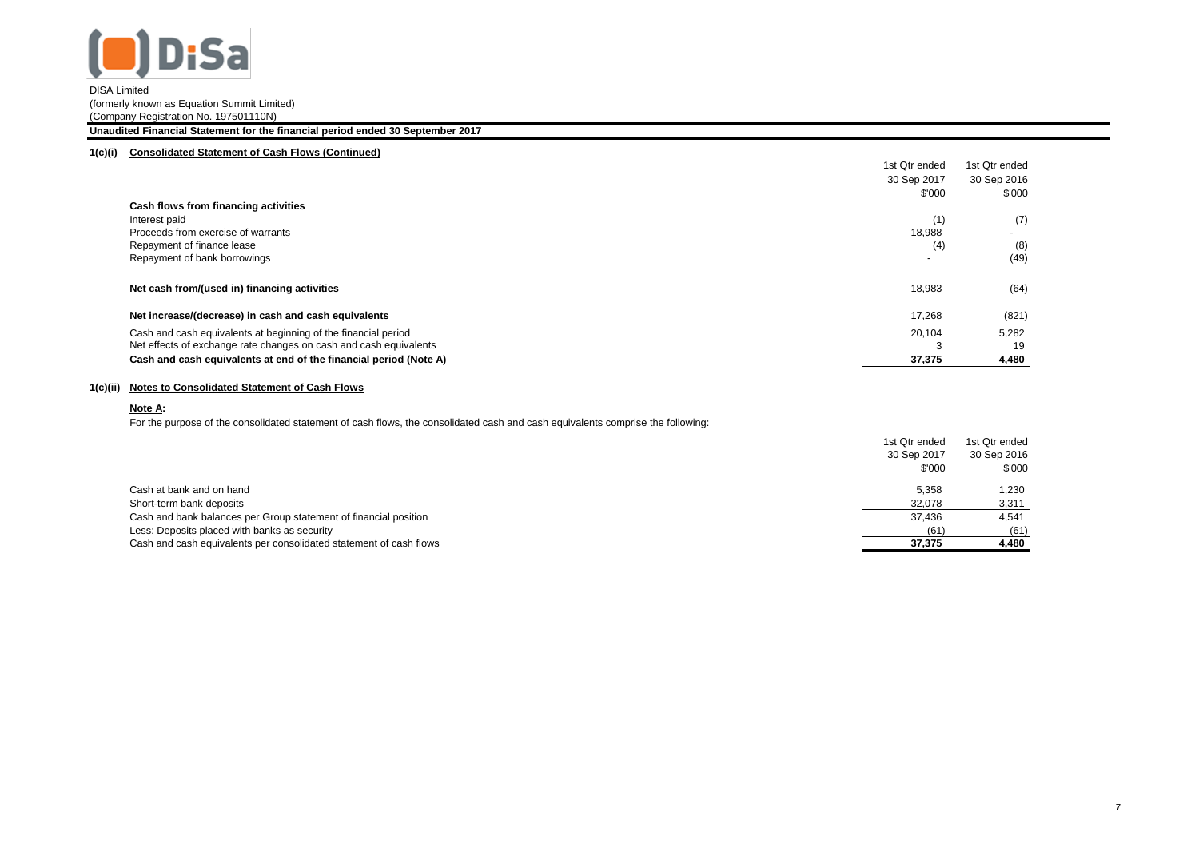

#### **Unaudited Financial Statement for the financial period ended 30 September 2017**

## **1(c)(i) Consolidated Statement of Cash Flows (Continued)**

|                                                                   | 1st Qtr ended            | 1st Qtr ended            |
|-------------------------------------------------------------------|--------------------------|--------------------------|
|                                                                   | 30 Sep 2017              | 30 Sep 2016              |
|                                                                   | \$'000                   | \$'000                   |
| Cash flows from financing activities                              |                          |                          |
| Interest paid                                                     |                          | (7)                      |
| Proceeds from exercise of warrants                                | 18,988                   | $\overline{\phantom{a}}$ |
| Repayment of finance lease                                        | (4)                      | (8)                      |
| Repayment of bank borrowings                                      | $\overline{\phantom{a}}$ | (49)                     |
|                                                                   |                          |                          |
| Net cash from/(used in) financing activities                      | 18,983                   | (64)                     |
|                                                                   |                          |                          |
| Net increase/(decrease) in cash and cash equivalents              | 17,268                   | (821)                    |
| Cash and cash equivalents at beginning of the financial period    | 20,104                   | 5,282                    |
| Net effects of exchange rate changes on cash and cash equivalents |                          | 19                       |
| Cash and cash equivalents at end of the financial period (Note A) | 37,375                   | 4,480                    |
|                                                                   |                          |                          |

## **1(c)(ii) Notes to Consolidated Statement of Cash Flows**

## **Note A:**

For the purpose of the consolidated statement of cash flows, the consolidated cash and cash equivalents comprise the following:

|                                                                    | 1st Qtr ended | 1st Qtr ended |
|--------------------------------------------------------------------|---------------|---------------|
|                                                                    | 30 Sep 2017   | 30 Sep 2016   |
|                                                                    | \$'000        | \$'000        |
| Cash at bank and on hand                                           | 5.358         | .230          |
| Short-term bank deposits                                           | 32,078        | 3,311         |
| Cash and bank balances per Group statement of financial position   | 37.436        | 4,541         |
| Less: Deposits placed with banks as security                       | (61)          | (61)          |
| Cash and cash equivalents per consolidated statement of cash flows | 37.375        | 4,480         |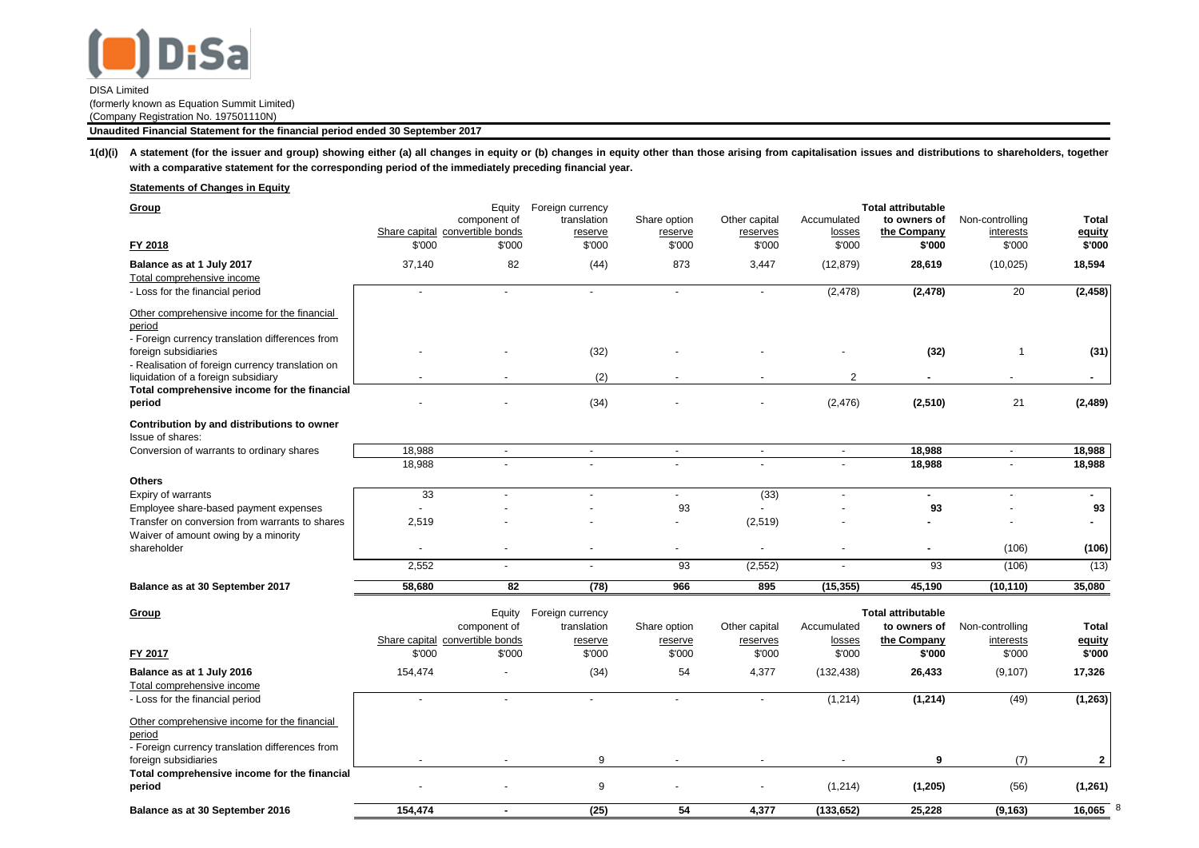

1(d)(i) A statement (for the issuer and group) showing either (a) all changes in equity or (b) changes in equity other than those arising from capitalisation issues and distributions to shareholders, together **with a comparative statement for the corresponding period of the immediately preceding financial year.**

**Statements of Changes in Equity**

| Group                                                                    |                                           | Equity                   | Foreign currency  |                   |                          |                          | <b>Total attributable</b> |                            |                  |
|--------------------------------------------------------------------------|-------------------------------------------|--------------------------|-------------------|-------------------|--------------------------|--------------------------|---------------------------|----------------------------|------------------|
|                                                                          |                                           | component of             | translation       | Share option      | Other capital            | Accumulated              | to owners of              | Non-controlling            | Total            |
|                                                                          | Share capital convertible bonds<br>\$'000 | \$'000                   | reserve<br>\$'000 | reserve<br>\$'000 | reserves<br>\$'000       | losses<br>\$'000         | the Company<br>\$'000     | interests                  | equity<br>\$'000 |
| FY 2018                                                                  |                                           |                          |                   |                   |                          |                          |                           | \$'000                     |                  |
| Balance as at 1 July 2017                                                | 37,140                                    | 82                       | (44)              | 873               | 3,447                    | (12, 879)                | 28,619                    | (10, 025)                  | 18,594           |
| Total comprehensive income                                               |                                           |                          |                   |                   |                          |                          |                           |                            |                  |
| - Loss for the financial period                                          | $\overline{a}$                            | $\overline{\phantom{a}}$ | $\overline{a}$    | $\sim$            | $\overline{a}$           | (2, 478)                 | (2, 478)                  | 20                         | (2, 458)         |
| Other comprehensive income for the financial                             |                                           |                          |                   |                   |                          |                          |                           |                            |                  |
| period                                                                   |                                           |                          |                   |                   |                          |                          |                           |                            |                  |
| - Foreign currency translation differences from                          |                                           |                          |                   |                   |                          |                          |                           |                            |                  |
| foreign subsidiaries<br>- Realisation of foreign currency translation on |                                           |                          | (32)              |                   |                          |                          | (32)                      | $\overline{\mathbf{1}}$    | (31)             |
| liquidation of a foreign subsidiary                                      |                                           |                          | (2)               |                   |                          | $\overline{2}$           |                           |                            | ٠                |
| Total comprehensive income for the financial                             |                                           |                          |                   |                   |                          |                          |                           |                            |                  |
| period                                                                   |                                           |                          | (34)              |                   |                          | (2, 476)                 | (2,510)                   | 21                         | (2, 489)         |
| Contribution by and distributions to owner                               |                                           |                          |                   |                   |                          |                          |                           |                            |                  |
| Issue of shares:                                                         |                                           |                          |                   |                   |                          |                          |                           |                            |                  |
| Conversion of warrants to ordinary shares                                | 18,988                                    | $\overline{\phantom{a}}$ | $\blacksquare$    | $\blacksquare$    | $\blacksquare$           | $\overline{\phantom{a}}$ | 18,988                    | $\overline{\phantom{a}}$   | 18,988           |
|                                                                          | 18,988                                    |                          |                   |                   |                          |                          | 18,988                    |                            | 18,988           |
| <b>Others</b>                                                            |                                           |                          |                   |                   |                          |                          |                           |                            |                  |
| Expiry of warrants                                                       | 33                                        | $\sim$                   |                   | $\blacksquare$    | (33)                     |                          | ÷.                        | $\blacksquare$             | ٠.               |
| Employee share-based payment expenses                                    |                                           |                          |                   | 93                |                          |                          | 93                        |                            | 93               |
| Transfer on conversion from warrants to shares                           | 2,519                                     |                          |                   | $\overline{a}$    | (2, 519)                 |                          |                           |                            | ٠                |
| Waiver of amount owing by a minority                                     |                                           |                          |                   |                   |                          |                          |                           |                            |                  |
| shareholder                                                              | ÷                                         |                          |                   |                   |                          |                          | ÷                         | (106)                      | (106)            |
|                                                                          | 2,552                                     | $\overline{a}$           | $\blacksquare$    | 93                | (2, 552)                 |                          | 93                        | (106)                      | (13)             |
| Balance as at 30 September 2017                                          | 58,680                                    | $\overline{82}$          | (78)              | 966               | 895                      | (15, 355)                | 45,190                    | (10, 110)                  | 35,080           |
|                                                                          |                                           |                          |                   |                   |                          |                          |                           |                            |                  |
| Group                                                                    |                                           | Equity                   | Foreign currency  |                   |                          |                          | <b>Total attributable</b> |                            |                  |
|                                                                          |                                           | component of             | translation       | Share option      | Other capital            | Accumulated              | to owners of              | Non-controlling            | <b>Total</b>     |
| FY 2017                                                                  | Share capital convertible bonds<br>\$'000 | \$'000                   | reserve<br>\$'000 | reserve<br>\$'000 | reserves<br>\$'000       | losses<br>\$'000         | the Company<br>\$'000     | <i>interests</i><br>\$'000 | equity<br>\$'000 |
|                                                                          |                                           |                          |                   |                   |                          |                          |                           |                            |                  |
| Balance as at 1 July 2016                                                | 154,474                                   |                          | (34)              | 54                | 4,377                    | (132, 438)               | 26,433                    | (9, 107)                   | 17,326           |
| Total comprehensive income<br>- Loss for the financial period            | $\overline{\phantom{a}}$                  | $\overline{a}$           | $\overline{a}$    | $\blacksquare$    | $\blacksquare$           | (1,214)                  | (1, 214)                  | (49)                       |                  |
|                                                                          |                                           |                          |                   |                   |                          |                          |                           |                            | (1, 263)         |
| Other comprehensive income for the financial                             |                                           |                          |                   |                   |                          |                          |                           |                            |                  |
| period                                                                   |                                           |                          |                   |                   |                          |                          |                           |                            |                  |
| - Foreign currency translation differences from                          | $\blacksquare$                            | $\overline{\phantom{a}}$ | 9                 | $\blacksquare$    | $\overline{\phantom{a}}$ |                          | 9                         |                            |                  |
| foreign subsidiaries<br>Total comprehensive income for the financial     |                                           |                          |                   |                   |                          |                          |                           | (7)                        | $\mathbf{2}$     |
| period                                                                   |                                           |                          | 9                 |                   |                          | (1,214)                  | (1,205)                   | (56)                       | (1, 261)         |
|                                                                          |                                           |                          |                   |                   |                          |                          |                           |                            |                  |
| Balance as at 30 September 2016                                          | 154,474                                   | $\overline{a}$           | (25)              | 54                | 4,377                    | (133, 652)               | 25,228                    | (9, 163)                   | 16,065           |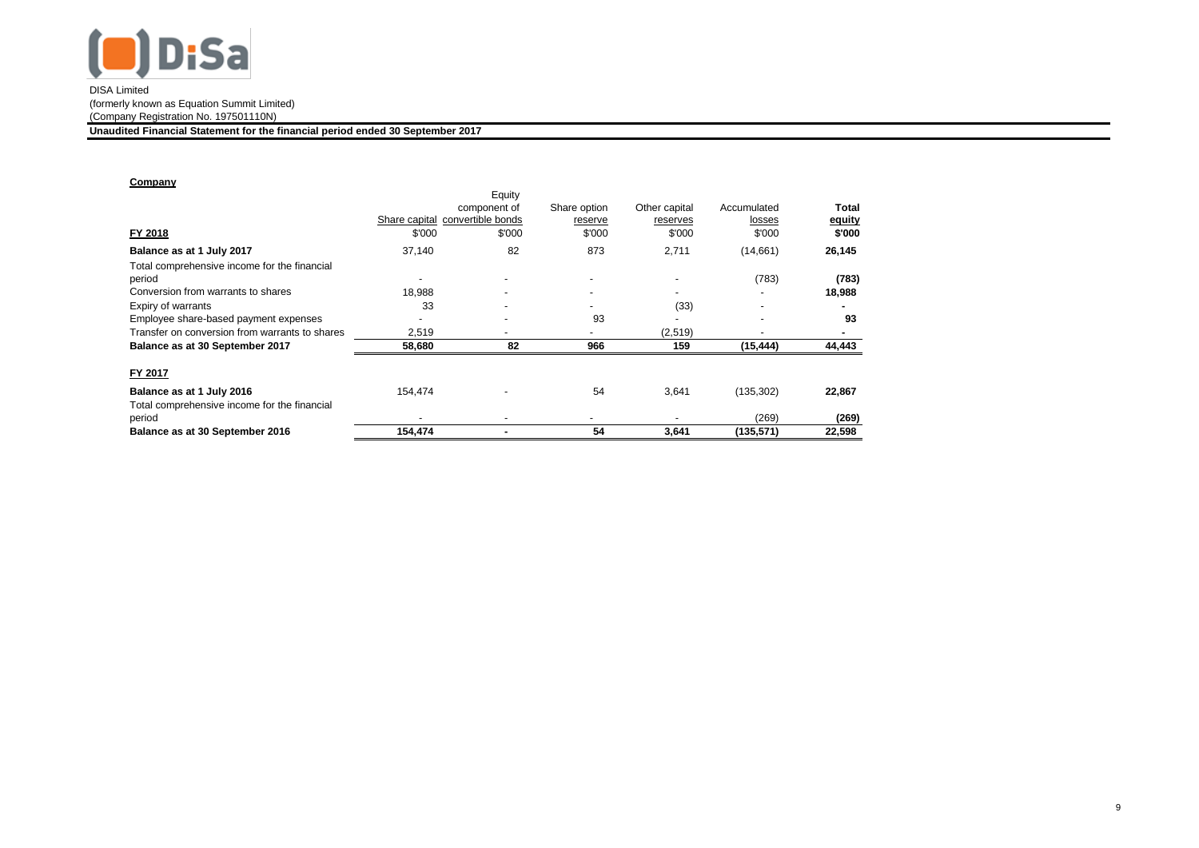

**Unaudited Financial Statement for the financial period ended 30 September 2017**

## **Company**

|                                                |                                 | Equity                   |                          |               |                          |        |
|------------------------------------------------|---------------------------------|--------------------------|--------------------------|---------------|--------------------------|--------|
|                                                |                                 | component of             | Share option             | Other capital | Accumulated              | Total  |
|                                                | Share capital convertible bonds |                          | reserve                  | reserves      | losses                   | equity |
| FY 2018                                        | \$'000                          | \$'000                   | \$'000                   | \$'000        | \$'000                   | \$'000 |
| Balance as at 1 July 2017                      | 37,140                          | 82                       | 873                      | 2,711         | (14,661)                 | 26,145 |
| Total comprehensive income for the financial   |                                 |                          |                          |               |                          |        |
| period                                         | $\blacksquare$                  | $\overline{\phantom{a}}$ | $\overline{\phantom{0}}$ |               | (783)                    | (783)  |
| Conversion from warrants to shares             | 18,988                          | $\overline{\phantom{a}}$ | -                        |               |                          | 18,988 |
| Expiry of warrants                             | 33                              | $\overline{\phantom{a}}$ |                          | (33)          | -                        |        |
| Employee share-based payment expenses          |                                 | $\overline{\phantom{a}}$ | 93                       |               | $\overline{\phantom{0}}$ | 93     |
| Transfer on conversion from warrants to shares | 2,519                           | $\overline{\phantom{a}}$ |                          | (2,519)       | $\blacksquare$           |        |
| Balance as at 30 September 2017                | 58,680                          | 82                       | 966                      | 159           | (15, 444)                | 44,443 |
| FY 2017                                        |                                 |                          |                          |               |                          |        |
| Balance as at 1 July 2016                      | 154.474                         |                          | 54                       | 3,641         | (135, 302)               | 22,867 |
| Total comprehensive income for the financial   |                                 |                          |                          |               |                          |        |
| period                                         |                                 | $\overline{\phantom{a}}$ |                          |               | (269)                    | (269)  |
| Balance as at 30 September 2016                | 154,474                         |                          | 54                       | 3,641         | (135, 571)               | 22,598 |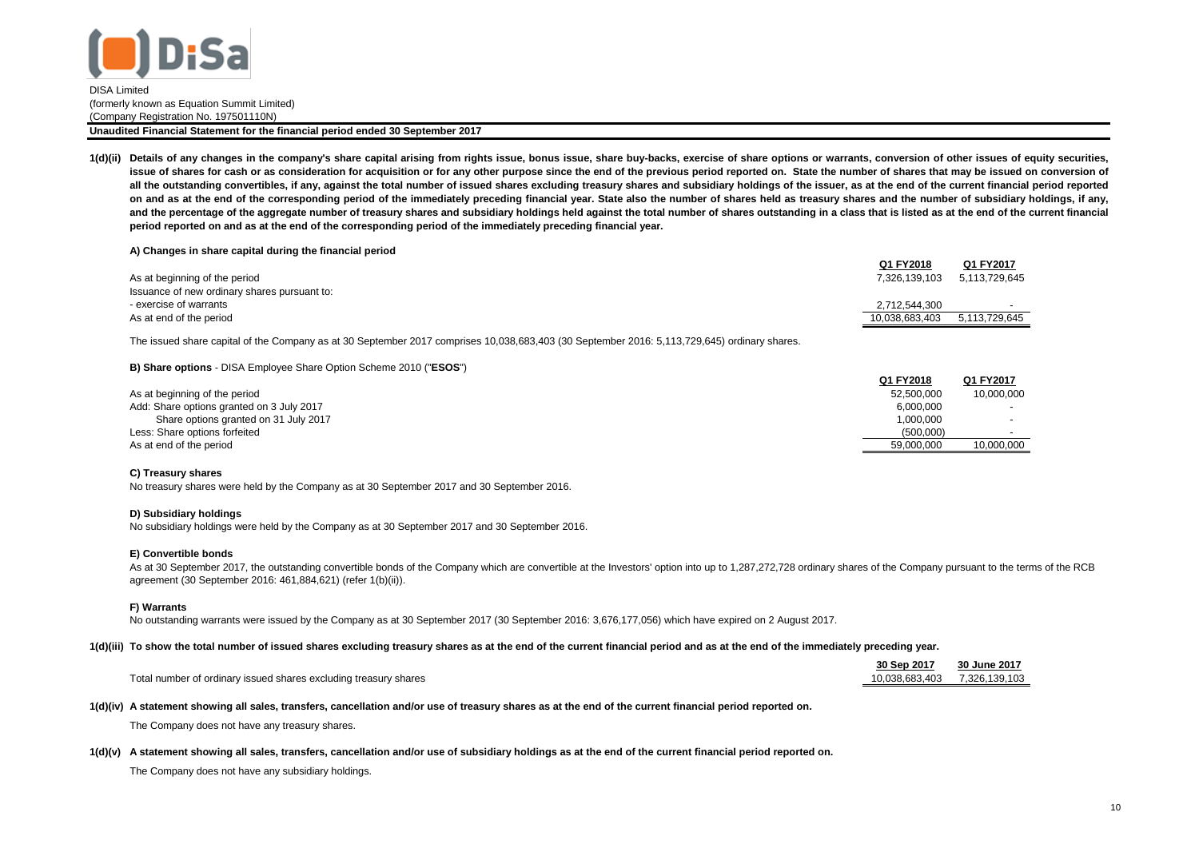

1(d)(ii) Details of any changes in the company's share capital arising from rights issue, bonus issue, share buy-backs, exercise of share options or warrants, conversion of other issues of equity securities, issue of shares for cash or as consideration for acquisition or for any other purpose since the end of the previous period reported on. State the number of shares that may be issued on conversion of all the outstanding convertibles, if any, against the total number of issued shares excluding treasury shares and subsidiary holdings of the issuer, as at the end of the current financial period reported on and as at the end of the corresponding period of the immediately preceding financial year. State also the number of shares held as treasury shares and the number of subsidiary holdings, if any, and the percentage of the aggregate number of treasury shares and subsidiary holdings held against the total number of shares outstanding in a class that is listed as at the end of the current financial **period reported on and as at the end of the corresponding period of the immediately preceding financial year.**

#### **A) Changes in share capital during the financial period**

|                                              | Q1 FY2018      | Q1 FY2017     |
|----------------------------------------------|----------------|---------------|
| As at beginning of the period                | 7.326.139.103  | 5.113.729.645 |
| Issuance of new ordinary shares pursuant to: |                |               |
| - exercise of warrants                       | 2.712.544.300  |               |
| As at end of the period                      | 10.038.683.403 | 5.113.729.645 |
|                                              |                |               |

The issued share capital of the Company as at 30 September 2017 comprises 10,038,683,403 (30 September 2016: 5,113,729,645) ordinary shares.

#### **B) Share options** - DISA Employee Share Option Scheme 2010 ("**ESOS**")

|                                           | Q1 FY2018  | Q1 FY2017  |
|-------------------------------------------|------------|------------|
| As at beginning of the period             | 52,500,000 | 10.000.000 |
| Add: Share options granted on 3 July 2017 | 6.000.000  |            |
| Share options granted on 31 July 2017     | 1.000.000  |            |
| Less: Share options forfeited             | (500.000)  |            |
| As at end of the period                   | 59.000.000 | 10.000.000 |

#### **C) Treasury shares**

No treasury shares were held by the Company as at 30 September 2017 and 30 September 2016.

#### **D) Subsidiary holdings**

No subsidiary holdings were held by the Company as at 30 September 2017 and 30 September 2016.

#### **E) Convertible bonds**

As at 30 September 2017, the outstanding convertible bonds of the Company which are convertible at the Investors' option into up to 1,287,272,728 ordinary shares of the Company pursuant to the terms of the RCB agreement (30 September 2016: 461,884,621) (refer 1(b)(ii)).

#### **F) Warrants**

No outstanding warrants were issued by the Company as at 30 September 2017 (30 September 2016: 3,676,177,056) which have expired on 2 August 2017.

#### **1(d)(iii) To show the total number of issued shares excluding treasury shares as at the end of the current financial period and as at the end of the immediately preceding year.**

|                                                                  | 30 Sep 2017    | 30 June 2017  |
|------------------------------------------------------------------|----------------|---------------|
| Total number of ordinary issued shares excluding treasury shares | 10.038.683.403 | 7.326.139.103 |

#### **1(d)(iv) A statement showing all sales, transfers, cancellation and/or use of treasury shares as at the end of the current financial period reported on.**

The Company does not have any treasury shares.

#### **1(d)(v) A statement showing all sales, transfers, cancellation and/or use of subsidiary holdings as at the end of the current financial period reported on.**

The Company does not have any subsidiary holdings.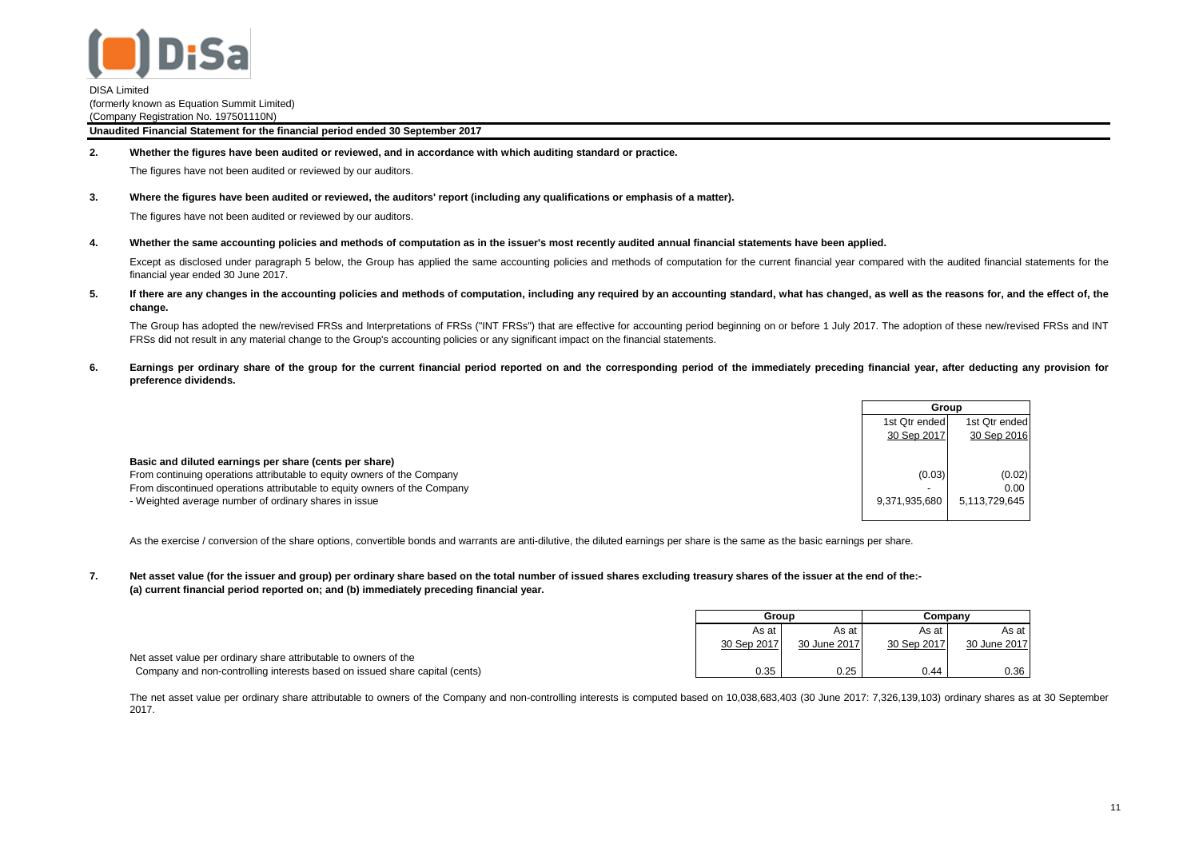

**2. Whether the figures have been audited or reviewed, and in accordance with which auditing standard or practice.**

The figures have not been audited or reviewed by our auditors.

**3. Where the figures have been audited or reviewed, the auditors' report (including any qualifications or emphasis of a matter).**

The figures have not been audited or reviewed by our auditors.

**4.** Whether the same accounting policies and methods of computation as in the issuer's most recently audited annual financial statements have been applied.

Except as disclosed under paragraph 5 below, the Group has applied the same accounting policies and methods of computation for the current financial year compared with the audited financial statements for the financial year ended 30 June 2017.

**5.** If there are any changes in the accounting policies and methods of computation, including any required by an accounting standard, what has changed, as well as the reasons for, and the effect of, the **change.**

The Group has adopted the new/revised FRSs and Interpretations of FRSs ("INT FRSs") that are effective for accounting period beginning on or before 1 July 2017. The adoption of these new/revised FRSs and INT FRSs did not result in any material change to the Group's accounting policies or any significant impact on the financial statements.

**6.** Earnings per ordinary share of the group for the current financial period reported on and the corresponding period of the immediately preceding financial year, after deducting any provision for **preference dividends.**

|                                                                           | Group                    |               |
|---------------------------------------------------------------------------|--------------------------|---------------|
|                                                                           | 1st Qtr ended            | 1st Qtr ended |
|                                                                           | 30 Sep 2017              | 30 Sep 2016   |
|                                                                           |                          |               |
| Basic and diluted earnings per share (cents per share)                    |                          |               |
| From continuing operations attributable to equity owners of the Company   | (0.03)                   | (0.02)        |
| From discontinued operations attributable to equity owners of the Company | $\overline{\phantom{a}}$ | 0.00          |
| - Weighted average number of ordinary shares in issue                     | 9,371,935,680            | 5,113,729,645 |

As the exercise / conversion of the share options, convertible bonds and warrants are anti-dilutive, the diluted earnings per share is the same as the basic earnings per share.

**7. (a) current financial period reported on; and (b) immediately preceding financial year. Net asset value (for the issuer and group) per ordinary share based on the total number of issued shares excluding treasury shares of the issuer at the end of the:-**

|                                                                             | Group       |              | Companv     |              |
|-----------------------------------------------------------------------------|-------------|--------------|-------------|--------------|
|                                                                             | As at       | As at        | As at       | As at        |
|                                                                             | 30 Sep 2017 | 30 June 2017 | 30 Sep 2017 | 30 June 2017 |
| Net asset value per ordinary share attributable to owners of the            |             |              |             |              |
| Company and non-controlling interests based on issued share capital (cents) | 0.35        | 0.25         | 0.44        | 0.36         |

The net asset value per ordinary share attributable to owners of the Company and non-controlling interests is computed based on 10,038,683,403 (30 June 2017: 7,326,139,103) ordinary shares as at 30 September 2017.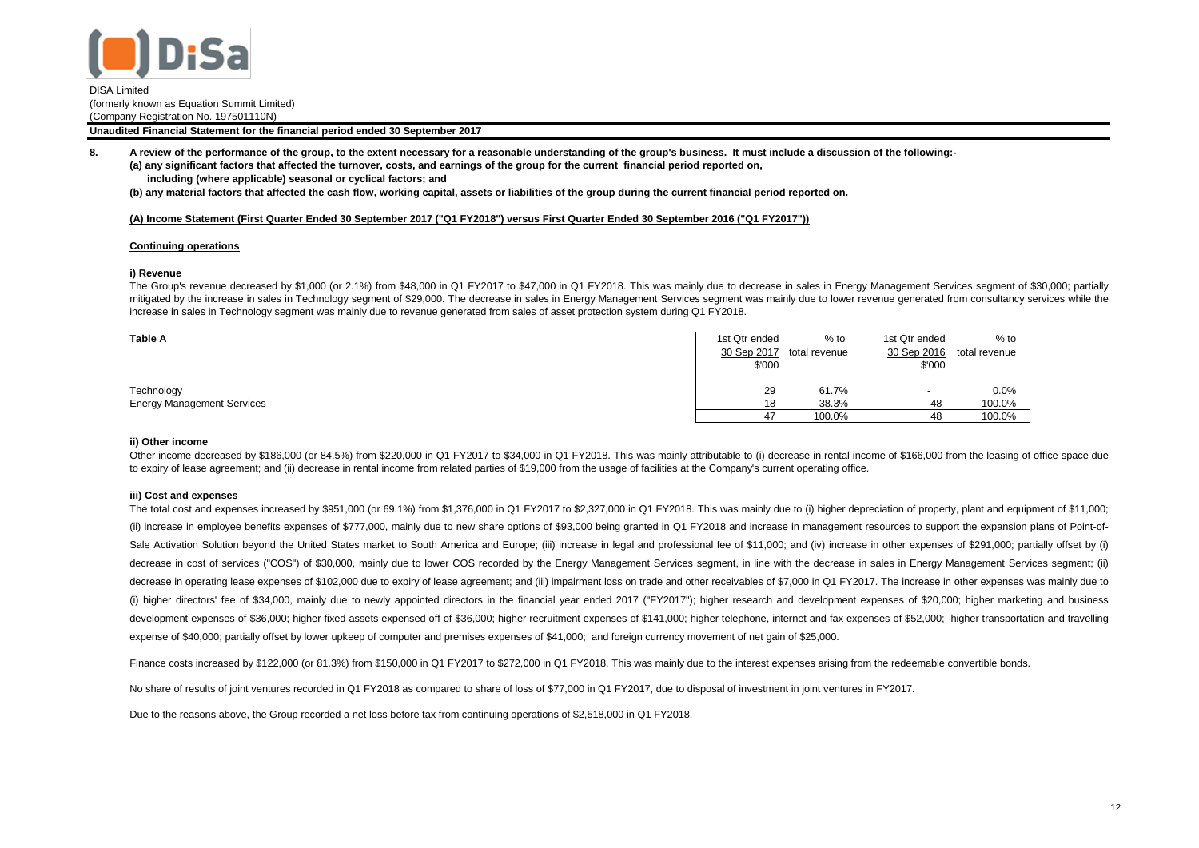

**Unaudited Financial Statement for the financial period ended 30 September 2017**

**8. (a) any significant factors that affected the turnover, costs, and earnings of the group for the current financial period reported on, including (where applicable) seasonal or cyclical factors; and A review of the performance of the group, to the extent necessary for a reasonable understanding of the group's business. It must include a discussion of the following:-**

**(b) any material factors that affected the cash flow, working capital, assets or liabilities of the group during the current financial period reported on.**

#### **(A) Income Statement (First Quarter Ended 30 September 2017 ("Q1 FY2018") versus First Quarter Ended 30 September 2016 ("Q1 FY2017"))**

#### **Continuing operations**

#### **i) Revenue**

The Group's revenue decreased by \$1,000 (or 2.1%) from \$48,000 in Q1 FY2017 to \$47,000 in Q1 FY2018. This was mainly due to decrease in sales in Energy Management Services segment of \$30,000; partially mitigated by the increase in sales in Technology segment of \$29,000. The decrease in sales in Energy Management Services segment was mainly due to lower revenue generated from consultancy services while the increase in sales in Technology segment was mainly due to revenue generated from sales of asset protection system during Q1 FY2018.

| <b>Table A</b>                    | 1st Qtr ended | $%$ to        | 1st Qtr ended            | $%$ to        |
|-----------------------------------|---------------|---------------|--------------------------|---------------|
|                                   | 30 Sep 2017   | total revenue | 30 Sep 2016              | total revenue |
|                                   | \$'000        |               | \$'000                   |               |
| Technology                        | 29            | 61.7%         | $\overline{\phantom{a}}$ | 0.0%          |
| <b>Energy Management Services</b> | 18            | 38.3%         | 48                       | 100.0%        |
|                                   | 47            | 100.0%        | 48                       | 100.0%        |

#### **ii) Other income**

Other income decreased by \$186,000 (or 84.5%) from \$220,000 in Q1 FY2017 to \$34,000 in Q1 FY2018. This was mainly attributable to (i) decrease in rental income of \$166,000 from the leasing of office space due to expiry of lease agreement; and (ii) decrease in rental income from related parties of \$19,000 from the usage of facilities at the Company's current operating office.

#### **iii) Cost and expenses**

The total cost and expenses increased by \$951,000 (or 69.1%) from \$1,376,000 in Q1 FY2017 to \$2,327,000 in Q1 FY2018. This was mainly due to (i) higher depreciation of property, plant and equipment of \$11,000; (ii) increase in employee benefits expenses of \$777,000, mainly due to new share options of \$93,000 being granted in Q1 FY2018 and increase in management resources to support the expansion plans of Point-of-Sale Activation Solution beyond the United States market to South America and Europe; (iii) increase in legal and professional fee of \$11,000; and (iv) increase in other expenses of \$291,000; partially offset by (i) decrease in cost of services ("COS") of \$30,000, mainly due to lower COS recorded by the Energy Management Services segment, in line with the decrease in sales in Energy Management Services segment; (ii) decrease in operating lease expenses of \$102,000 due to expiry of lease agreement; and (iii) impairment loss on trade and other receivables of \$7,000 in Q1 FY2017. The increase in other expenses was mainly due to (i) higher directors' fee of \$34,000, mainly due to newly appointed directors in the financial year ended 2017 ("FY2017"); higher research and development expenses of \$20,000; higher marketing and business development expenses of \$36,000; higher fixed assets expensed off of \$36,000; higher recruitment expenses of \$141,000; higher telephone, internet and fax expenses of \$52,000; higher transportation and travelling expense of \$40,000; partially offset by lower upkeep of computer and premises expenses of \$41,000; and foreign currency movement of net gain of \$25,000.

Finance costs increased by \$122,000 (or 81.3%) from \$150,000 in Q1 FY2017 to \$272,000 in Q1 FY2018. This was mainly due to the interest expenses arising from the redeemable convertible bonds.

No share of results of ioint ventures recorded in Q1 FY2018 as compared to share of loss of \$77,000 in Q1 FY2017, due to disposal of investment in joint ventures in FY2017.

Due to the reasons above, the Group recorded a net loss before tax from continuing operations of \$2,518,000 in Q1 FY2018.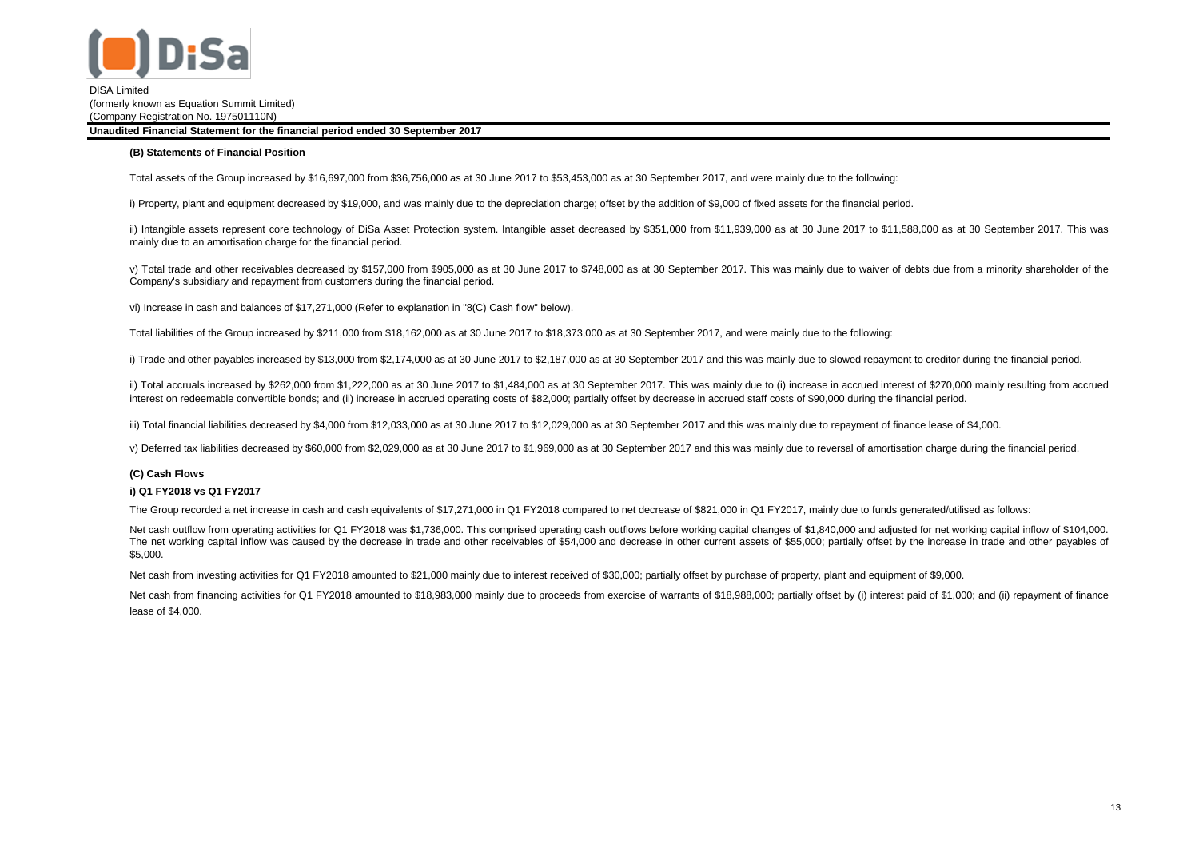

#### **(B) Statements of Financial Position**

Total assets of the Group increased by \$16,697,000 from \$36,756,000 as at 30 June 2017 to \$53,453,000 as at 30 September 2017, and were mainly due to the following:

i) Property, plant and equipment decreased by \$19,000, and was mainly due to the depreciation charge; offset by the addition of \$9,000 of fixed assets for the financial period.

ii) Intangible assets represent core technology of DiSa Asset Protection system. Intangible asset decreased by \$351,000 from \$11,939,000 as at 30 June 2017 to \$11,588,000 as at 30 September 2017. This was mainly due to an amortisation charge for the financial period.

v) Total trade and other receivables decreased by \$157,000 from \$905,000 as at 30 June 2017 to \$748,000 as at 30 September 2017. This was mainly due to waiver of debts due from a minority shareholder of the Company's subsidiary and repayment from customers during the financial period.

vi) Increase in cash and balances of \$17,271,000 (Refer to explanation in "8(C) Cash flow" below).

Total liabilities of the Group increased by \$211,000 from \$18,162,000 as at 30 June 2017 to \$18,373,000 as at 30 September 2017, and were mainly due to the following:

i) Trade and other payables increased by \$13,000 from \$2,174,000 as at 30 June 2017 to \$2,187,000 as at 30 September 2017 and this was mainly due to slowed repayment to creditor during the financial period.

ii) Total accruals increased by \$262,000 from \$1,222,000 as at 30 June 2017 to \$1,484,000 as at 30 September 2017. This was mainly due to (i) increase in accrued interest of \$270,000 mainly resulting from accrued interest on redeemable convertible bonds; and (ii) increase in accrued operating costs of \$82,000; partially offset by decrease in accrued staff costs of \$90,000 during the financial period.

iii) Total financial liabilities decreased by \$4,000 from \$12,033,000 as at 30 June 2017 to \$12,029,000 as at 30 September 2017 and this was mainly due to repayment of finance lease of \$4,000.

v) Deferred tax liabilities decreased by \$60,000 from \$2,029,000 as at 30 June 2017 to \$1,969,000 as at 30 September 2017 and this was mainly due to reversal of amortisation charge during the financial period.

## **(C) Cash Flows**

### **i) Q1 FY2018 vs Q1 FY2017**

The Group recorded a net increase in cash and cash equivalents of \$17,271,000 in Q1 FY2018 compared to net decrease of \$821,000 in Q1 FY2017, mainly due to funds generated/utilised as follows:

Net cash outflow from operating activities for Q1 FY2018 was \$1,736,000. This comprised operating cash outflows before working capital changes of \$1,840,000 and adjusted for net working capital inflow of \$104,000. The net working capital inflow was caused by the decrease in trade and other receivables of \$54,000 and decrease in other current assets of \$55,000; partially offset by the increase in trade and other payables of \$5,000.

Net cash from investing activities for Q1 FY2018 amounted to \$21,000 mainly due to interest received of \$30,000; partially offset by purchase of property, plant and equipment of \$9,000.

Net cash from financing activities for Q1 FY2018 amounted to \$18,983,000 mainly due to proceeds from exercise of warrants of \$18,988,000; partially offset by (i) interest paid of \$1,000; and (ii) repayment of finance lease of \$4,000.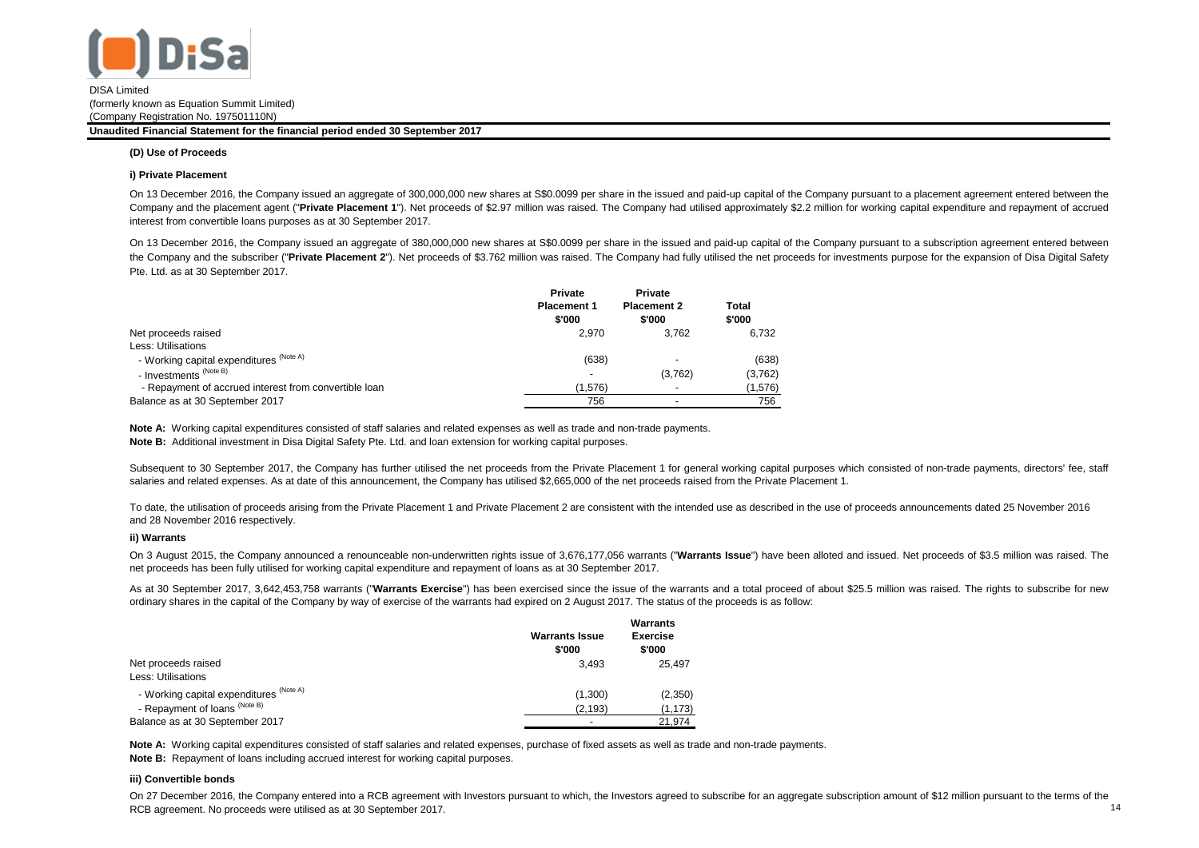

**Unaudited Financial Statement for the financial period ended 30 September 2017**

#### **(D) Use of Proceeds**

#### **i) Private Placement**

On 13 December 2016, the Company issued an aggregate of 300,000,000 new shares at S\$0.0099 per share in the issued and paid-up capital of the Company pursuant to a placement agreement entered between the Company and the placement agent ("Private Placement 1"). Net proceeds of \$2.97 million was raised. The Company had utilised approximately \$2.2 million for working capital expenditure and repayment of accrued interest from convertible loans purposes as at 30 September 2017.

On 13 December 2016, the Company issued an aggregate of 380,000,000 new shares at S\$0.0099 per share in the issued and paid-up capital of the Company pursuant to a subscription agreement entered between the Company and the subscriber ("Private Placement 2"). Net proceeds of \$3.762 million was raised. The Company had fully utilised the net proceeds for investments purpose for the expansion of Disa Digital Safety Pte. Ltd. as at 30 September 2017.

|                                                       | Private<br><b>Placement 1</b><br>\$'000 | <b>Private</b><br><b>Placement 2</b><br>\$'000 | Total<br>\$'000 |
|-------------------------------------------------------|-----------------------------------------|------------------------------------------------|-----------------|
| Net proceeds raised                                   | 2.970                                   | 3.762                                          | 6.732           |
| Less: Utilisations                                    |                                         |                                                |                 |
| - Working capital expenditures (Note A)               | (638)                                   |                                                | (638)           |
| - Investments <sup>(Note B)</sup>                     |                                         | (3,762)                                        | (3,762)         |
| - Repayment of accrued interest from convertible loan | (1,576)                                 |                                                | (1,576)         |
| Balance as at 30 September 2017                       | 756                                     | $\overline{\phantom{0}}$                       | 756             |

**Note A:** Working capital expenditures consisted of staff salaries and related expenses as well as trade and non-trade payments. **Note B:** Additional investment in Disa Digital Safety Pte. Ltd. and loan extension for working capital purposes.

Subsequent to 30 September 2017, the Company has further utilised the net proceeds from the Private Placement 1 for general working capital purposes which consisted of non-trade payments, directors' fee, staff salaries and related expenses. As at date of this announcement, the Company has utilised \$2,665,000 of the net proceeds raised from the Private Placement 1.

To date, the utilisation of proceeds arising from the Private Placement 1 and Private Placement 2 are consistent with the intended use as described in the use of proceeds announcements dated 25 November 2016 and 28 November 2016 respectively.

### **ii) Warrants**

On 3 August 2015, the Company announced a renounceable non-underwritten rights issue of 3,676,177,056 warrants ("**Warrants Issue**") have been alloted and issued. Net proceeds of \$3.5 million was raised. The net proceeds has been fully utilised for working capital expenditure and repayment of loans as at 30 September 2017.

As at 30 September 2017, 3,642,453,758 warrants ("**Warrants Exercise**") has been exercised since the issue of the warrants and a total proceed of about \$25.5 million was raised. The rights to subscribe for new ordinary shares in the capital of the Company by way of exercise of the warrants had expired on 2 August 2017. The status of the proceeds is as follow:

|                                         | <b>Warrants Issue</b><br>\$'000 | <b>Warrants</b><br><b>Exercise</b><br>\$'000 |
|-----------------------------------------|---------------------------------|----------------------------------------------|
| Net proceeds raised                     | 3.493                           | 25.497                                       |
| Less: Utilisations                      |                                 |                                              |
| - Working capital expenditures (Note A) | (1,300)                         | (2,350)                                      |
| - Repayment of loans (Note B)           | (2, 193)                        | (1, 173)                                     |
| Balance as at 30 September 2017         | -                               | 21.974                                       |

**Note A:** Working capital expenditures consisted of staff salaries and related expenses, purchase of fixed assets as well as trade and non-trade payments.

**Note B:** Repayment of loans including accrued interest for working capital purposes.

#### **iii) Convertible bonds**

On 27 December 2016, the Company entered into a RCB agreement with Investors pursuant to which, the Investors agreed to subscribe for an aggregate subscription amount of \$12 million pursuant to the terms of the RCB agreement. No proceeds were utilised as at 30 September 2017. 14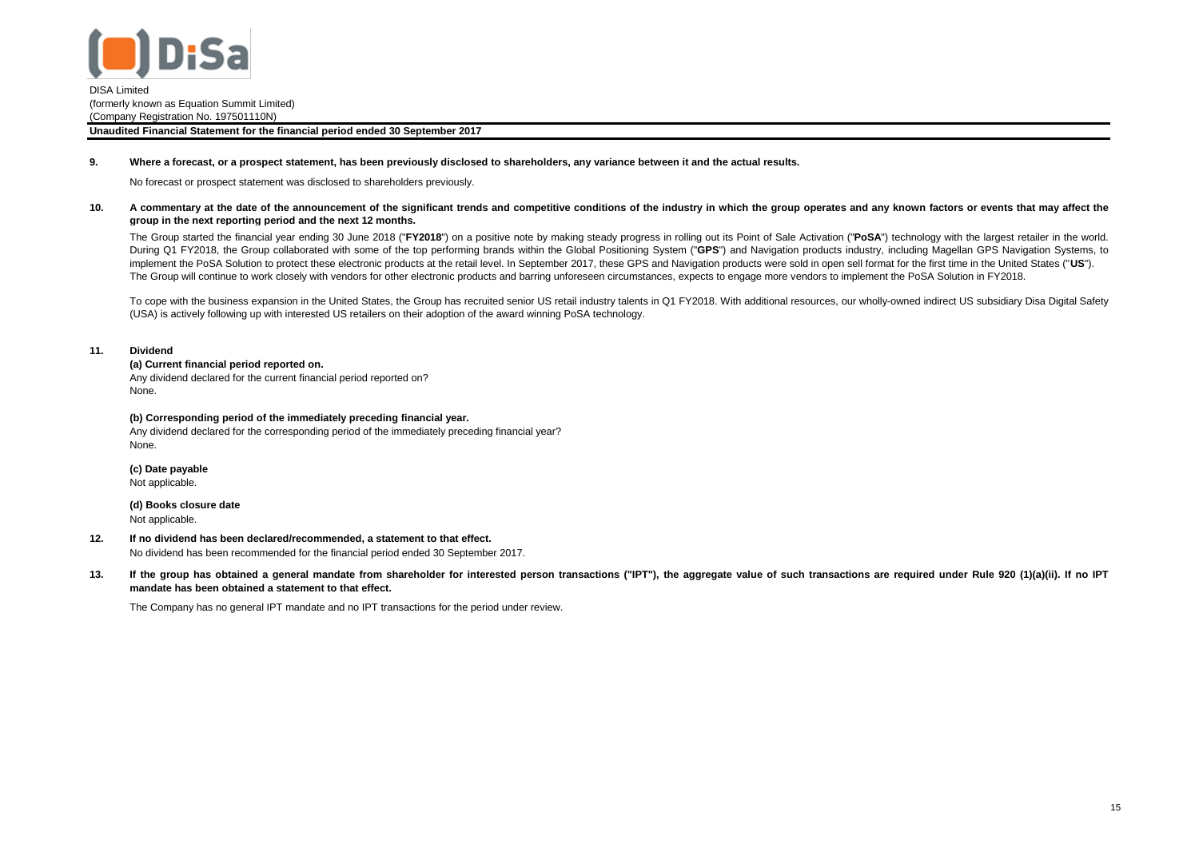

#### **9. Where a forecast, or a prospect statement, has been previously disclosed to shareholders, any variance between it and the actual results.**

No forecast or prospect statement was disclosed to shareholders previously.

**10.** A commentary at the date of the announcement of the significant trends and competitive conditions of the industry in which the group operates and any known factors or events that may affect the **group in the next reporting period and the next 12 months.**

The Group started the financial year ending 30 June 2018 ("FY2018") on a positive note by making steady progress in rolling out its Point of Sale Activation ("PoSA") technology with the largest retailer in the world. During Q1 FY2018, the Group collaborated with some of the top performing brands within the Global Positioning System ("**GPS**") and Navigation products industry, including Magellan GPS Navigation Systems, to implement the PoSA Solution to protect these electronic products at the retail level. In September 2017, these GPS and Navigation products were sold in open sell format for the first time in the United States ("**US**"). The Group will continue to work closely with vendors for other electronic products and barring unforeseen circumstances, expects to engage more vendors to implement the PoSA Solution in FY2018.

To cope with the business expansion in the United States, the Group has recruited senior US retail industry talents in Q1 FY2018. With additional resources, our wholly-owned indirect US subsidiary Disa Digital Safety (USA) is actively following up with interested US retailers on their adoption of the award winning PoSA technology.

### **11. Dividend**

## **(a) Current financial period reported on.**

Any dividend declared for the current financial period reported on? None.

### **(b) Corresponding period of the immediately preceding financial year.**

Any dividend declared for the corresponding period of the immediately preceding financial year? None.

**(c) Date payable** Not applicable.

**(d) Books closure date** Not applicable.

**12. If no dividend has been declared/recommended, a statement to that effect.**

No dividend has been recommended for the financial period ended 30 September 2017.

**13.** If the group has obtained a general mandate from shareholder for interested person transactions ("IPT"), the aggregate value of such transactions are required under Rule 920 (1)(a)(ii). If no IPT **mandate has been obtained a statement to that effect.**

The Company has no general IPT mandate and no IPT transactions for the period under review.